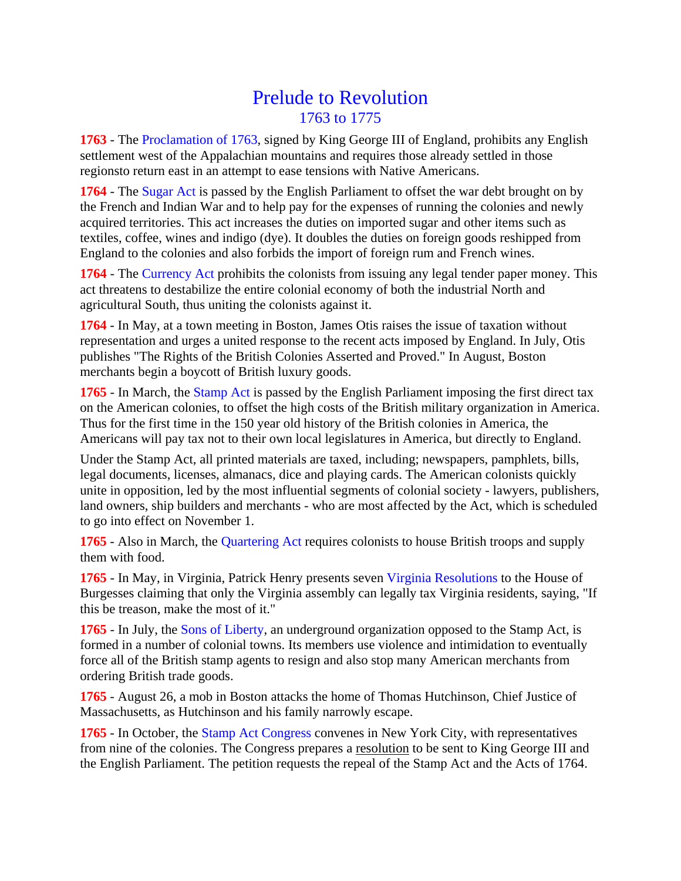## Prelude to Revolution 1763 to 1775

**1763** - The Proclamation of 1763, signed by King George III of England, prohibits any English settlement west of the Appalachian mountains and requires those already settled in those regionsto return east in an attempt to ease tensions with Native Americans.

**1764** - The Sugar Act is passed by the English Parliament to offset the war debt brought on by the French and Indian War and to help pay for the expenses of running the colonies and newly acquired territories. This act increases the duties on imported sugar and other items such as textiles, coffee, wines and indigo (dye). It doubles the duties on foreign goods reshipped from England to the colonies and also forbids the import of foreign rum and French wines.

**1764** - The Currency Act prohibits the colonists from issuing any legal tender paper money. This act threatens to destabilize the entire colonial economy of both the industrial North and agricultural South, thus uniting the colonists against it.

**1764** - In May, at a town meeting in Boston, James Otis raises the issue of taxation without representation and urges a united response to the recent acts imposed by England. In July, Otis publishes "The Rights of the British Colonies Asserted and Proved." In August, Boston merchants begin a boycott of British luxury goods.

**1765** - In March, the Stamp Act is passed by the English Parliament imposing the first direct tax on the American colonies, to offset the high costs of the British military organization in America. Thus for the first time in the 150 year old history of the British colonies in America, the Americans will pay tax not to their own local legislatures in America, but directly to England.

Under the Stamp Act, all printed materials are taxed, including; newspapers, pamphlets, bills, legal documents, licenses, almanacs, dice and playing cards. The American colonists quickly unite in opposition, led by the most influential segments of colonial society - lawyers, publishers, land owners, ship builders and merchants - who are most affected by the Act, which is scheduled to go into effect on November 1.

**1765** - Also in March, the Quartering Act requires colonists to house British troops and supply them with food.

**1765** - In May, in Virginia, Patrick Henry presents seven Virginia Resolutions to the House of Burgesses claiming that only the Virginia assembly can legally tax Virginia residents, saying, "If this be treason, make the most of it."

**1765** - In July, the Sons of Liberty, an underground organization opposed to the Stamp Act, is formed in a number of colonial towns. Its members use violence and intimidation to eventually force all of the British stamp agents to resign and also stop many American merchants from ordering British trade goods.

**1765** - August 26, a mob in Boston attacks the home of Thomas Hutchinson, Chief Justice of Massachusetts, as Hutchinson and his family narrowly escape.

**1765** - In October, the Stamp Act Congress convenes in New York City, with representatives from nine of the colonies. The Congress prepares a resolution to be sent to King George III and the English Parliament. The petition requests the repeal of the Stamp Act and the Acts of 1764.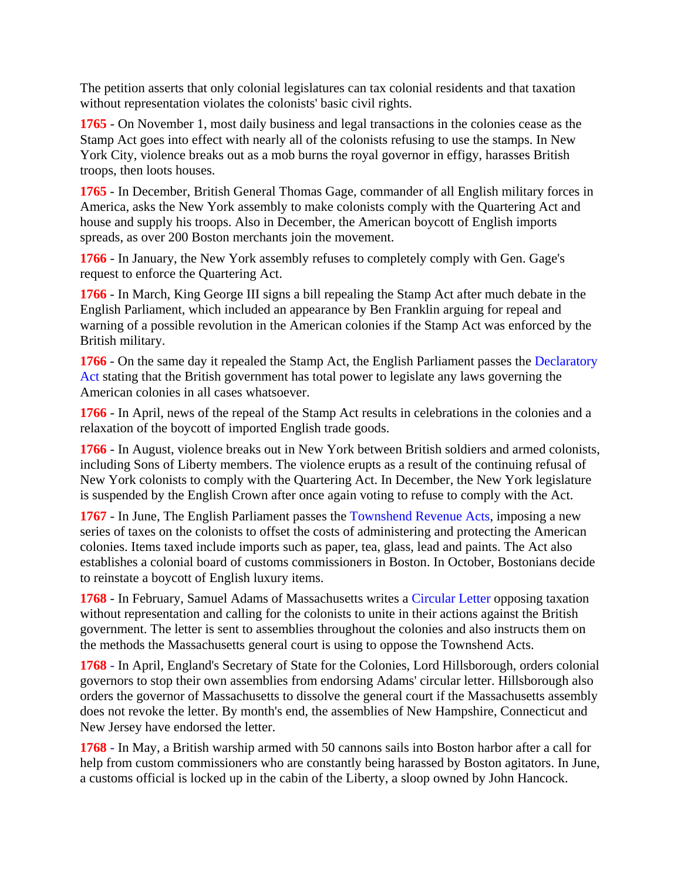The petition asserts that only colonial legislatures can tax colonial residents and that taxation without representation violates the colonists' basic civil rights.

**1765** - On November 1, most daily business and legal transactions in the colonies cease as the Stamp Act goes into effect with nearly all of the colonists refusing to use the stamps. In New York City, violence breaks out as a mob burns the royal governor in effigy, harasses British troops, then loots houses.

**1765** - In December, British General Thomas Gage, commander of all English military forces in America, asks the New York assembly to make colonists comply with the Quartering Act and house and supply his troops. Also in December, the American boycott of English imports spreads, as over 200 Boston merchants join the movement.

**1766** - In January, the New York assembly refuses to completely comply with Gen. Gage's request to enforce the Quartering Act.

**1766** - In March, King George III signs a bill repealing the Stamp Act after much debate in the English Parliament, which included an appearance by Ben Franklin arguing for repeal and warning of a possible revolution in the American colonies if the Stamp Act was enforced by the British military.

**1766** - On the same day it repealed the Stamp Act, the English Parliament passes the Declaratory Act stating that the British government has total power to legislate any laws governing the American colonies in all cases whatsoever.

**1766** - In April, news of the repeal of the Stamp Act results in celebrations in the colonies and a relaxation of the boycott of imported English trade goods.

**1766** - In August, violence breaks out in New York between British soldiers and armed colonists, including Sons of Liberty members. The violence erupts as a result of the continuing refusal of New York colonists to comply with the Quartering Act. In December, the New York legislature is suspended by the English Crown after once again voting to refuse to comply with the Act.

**1767** - In June, The English Parliament passes the Townshend Revenue Acts, imposing a new series of taxes on the colonists to offset the costs of administering and protecting the American colonies. Items taxed include imports such as paper, tea, glass, lead and paints. The Act also establishes a colonial board of customs commissioners in Boston. In October, Bostonians decide to reinstate a boycott of English luxury items.

**1768** - In February, Samuel Adams of Massachusetts writes a Circular Letter opposing taxation without representation and calling for the colonists to unite in their actions against the British government. The letter is sent to assemblies throughout the colonies and also instructs them on the methods the Massachusetts general court is using to oppose the Townshend Acts.

**1768** - In April, England's Secretary of State for the Colonies, Lord Hillsborough, orders colonial governors to stop their own assemblies from endorsing Adams' circular letter. Hillsborough also orders the governor of Massachusetts to dissolve the general court if the Massachusetts assembly does not revoke the letter. By month's end, the assemblies of New Hampshire, Connecticut and New Jersey have endorsed the letter.

**1768** - In May, a British warship armed with 50 cannons sails into Boston harbor after a call for help from custom commissioners who are constantly being harassed by Boston agitators. In June, a customs official is locked up in the cabin of the Liberty, a sloop owned by John Hancock.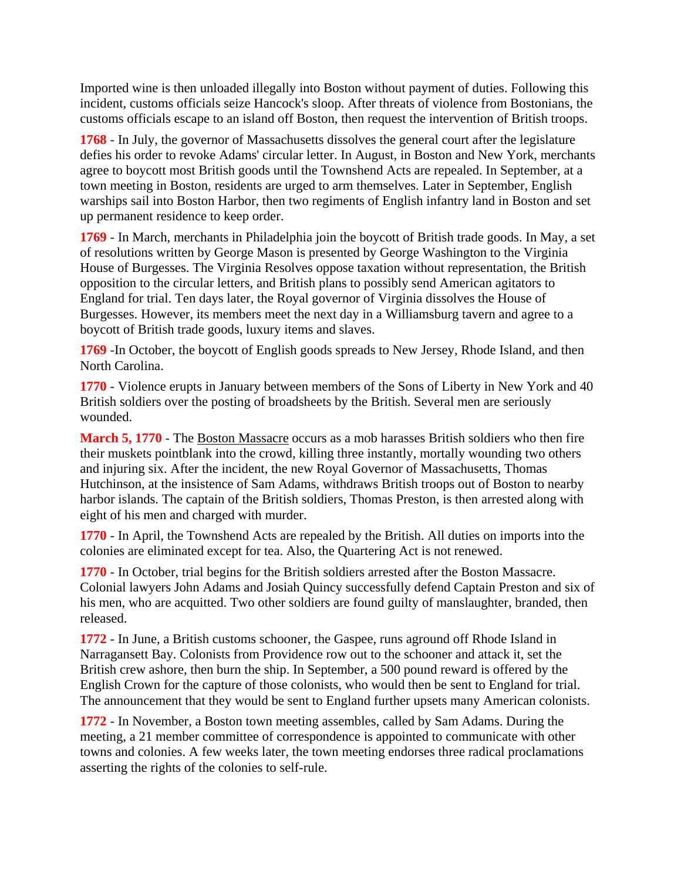Imported wine is then unloaded illegally into Boston without payment of duties. Following this incident, customs officials seize Hancock's sloop. After threats of violence from Bostonians, the customs officials escape to an island off Boston, then request the intervention of British troops.

**1768** - In July, the governor of Massachusetts dissolves the general court after the legislature defies his order to revoke Adams' circular letter. In August, in Boston and New York, merchants agree to boycott most British goods until the Townshend Acts are repealed. In September, at a town meeting in Boston, residents are urged to arm themselves. Later in September, English warships sail into Boston Harbor, then two regiments of English infantry land in Boston and set up permanent residence to keep order.

**1769** - In March, merchants in Philadelphia join the boycott of British trade goods. In May, a set of resolutions written by George Mason is presented by George Washington to the Virginia House of Burgesses. The Virginia Resolves oppose taxation without representation, the British opposition to the circular letters, and British plans to possibly send American agitators to England for trial. Ten days later, the Royal governor of Virginia dissolves the House of Burgesses. However, its members meet the next day in a Williamsburg tavern and agree to a boycott of British trade goods, luxury items and slaves.

**1769** -In October, the boycott of English goods spreads to New Jersey, Rhode Island, and then North Carolina.

**1770** - Violence erupts in January between members of the Sons of Liberty in New York and 40 British soldiers over the posting of broadsheets by the British. Several men are seriously wounded.

**March 5, 1770** - The Boston Massacre occurs as a mob harasses British soldiers who then fire their muskets pointblank into the crowd, killing three instantly, mortally wounding two others and injuring six. After the incident, the new Royal Governor of Massachusetts, Thomas Hutchinson, at the insistence of Sam Adams, withdraws British troops out of Boston to nearby harbor islands. The captain of the British soldiers, Thomas Preston, is then arrested along with eight of his men and charged with murder.

**1770** - In April, the Townshend Acts are repealed by the British. All duties on imports into the colonies are eliminated except for tea. Also, the Quartering Act is not renewed.

**1770** - In October, trial begins for the British soldiers arrested after the Boston Massacre. Colonial lawyers John Adams and Josiah Quincy successfully defend Captain Preston and six of his men, who are acquitted. Two other soldiers are found guilty of manslaughter, branded, then released.

**1772** - In June, a British customs schooner, the Gaspee, runs aground off Rhode Island in Narragansett Bay. Colonists from Providence row out to the schooner and attack it, set the British crew ashore, then burn the ship. In September, a 500 pound reward is offered by the English Crown for the capture of those colonists, who would then be sent to England for trial. The announcement that they would be sent to England further upsets many American colonists.

**1772** - In November, a Boston town meeting assembles, called by Sam Adams. During the meeting, a 21 member committee of correspondence is appointed to communicate with other towns and colonies. A few weeks later, the town meeting endorses three radical proclamations asserting the rights of the colonies to self-rule.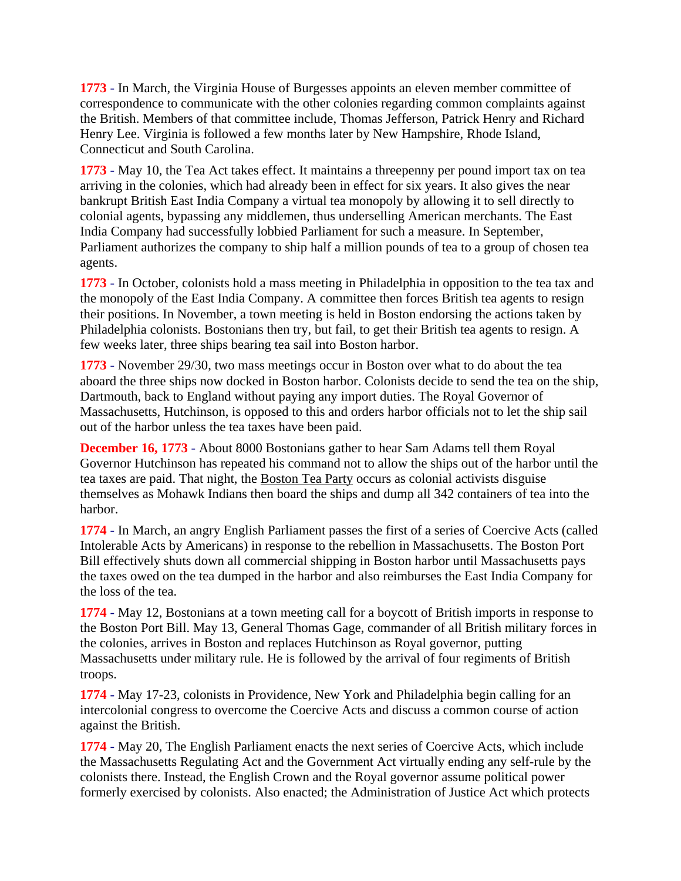**1773** - In March, the Virginia House of Burgesses appoints an eleven member committee of correspondence to communicate with the other colonies regarding common complaints against the British. Members of that committee include, Thomas Jefferson, Patrick Henry and Richard Henry Lee. Virginia is followed a few months later by New Hampshire, Rhode Island, Connecticut and South Carolina.

**1773** - May 10, the Tea Act takes effect. It maintains a threepenny per pound import tax on tea arriving in the colonies, which had already been in effect for six years. It also gives the near bankrupt British East India Company a virtual tea monopoly by allowing it to sell directly to colonial agents, bypassing any middlemen, thus underselling American merchants. The East India Company had successfully lobbied Parliament for such a measure. In September, Parliament authorizes the company to ship half a million pounds of tea to a group of chosen tea agents.

**1773** - In October, colonists hold a mass meeting in Philadelphia in opposition to the tea tax and the monopoly of the East India Company. A committee then forces British tea agents to resign their positions. In November, a town meeting is held in Boston endorsing the actions taken by Philadelphia colonists. Bostonians then try, but fail, to get their British tea agents to resign. A few weeks later, three ships bearing tea sail into Boston harbor.

**1773** - November 29/30, two mass meetings occur in Boston over what to do about the tea aboard the three ships now docked in Boston harbor. Colonists decide to send the tea on the ship, Dartmouth, back to England without paying any import duties. The Royal Governor of Massachusetts, Hutchinson, is opposed to this and orders harbor officials not to let the ship sail out of the harbor unless the tea taxes have been paid.

**December 16, 1773** - About 8000 Bostonians gather to hear Sam Adams tell them Royal Governor Hutchinson has repeated his command not to allow the ships out of the harbor until the tea taxes are paid. That night, the Boston Tea Party occurs as colonial activists disguise themselves as Mohawk Indians then board the ships and dump all 342 containers of tea into the harbor.

**1774** - In March, an angry English Parliament passes the first of a series of Coercive Acts (called Intolerable Acts by Americans) in response to the rebellion in Massachusetts. The Boston Port Bill effectively shuts down all commercial shipping in Boston harbor until Massachusetts pays the taxes owed on the tea dumped in the harbor and also reimburses the East India Company for the loss of the tea.

**1774** - May 12, Bostonians at a town meeting call for a boycott of British imports in response to the Boston Port Bill. May 13, General Thomas Gage, commander of all British military forces in the colonies, arrives in Boston and replaces Hutchinson as Royal governor, putting Massachusetts under military rule. He is followed by the arrival of four regiments of British troops.

**1774** - May 17-23, colonists in Providence, New York and Philadelphia begin calling for an intercolonial congress to overcome the Coercive Acts and discuss a common course of action against the British.

**1774** - May 20, The English Parliament enacts the next series of Coercive Acts, which include the Massachusetts Regulating Act and the Government Act virtually ending any self-rule by the colonists there. Instead, the English Crown and the Royal governor assume political power formerly exercised by colonists. Also enacted; the Administration of Justice Act which protects